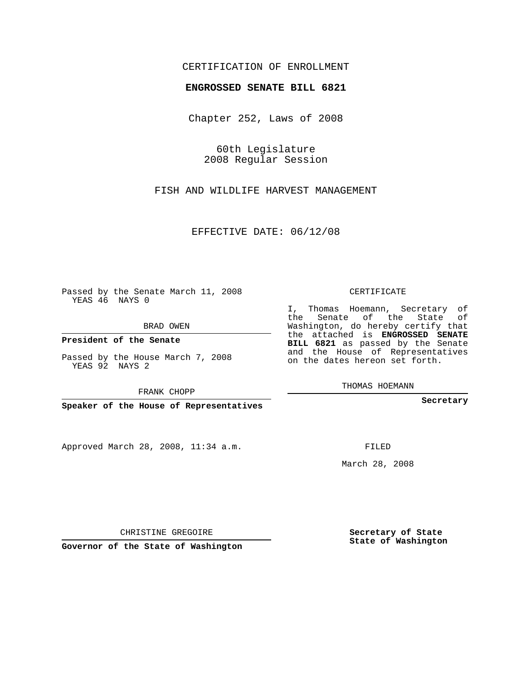## CERTIFICATION OF ENROLLMENT

#### **ENGROSSED SENATE BILL 6821**

Chapter 252, Laws of 2008

60th Legislature 2008 Regular Session

FISH AND WILDLIFE HARVEST MANAGEMENT

EFFECTIVE DATE: 06/12/08

Passed by the Senate March 11, 2008 YEAS 46 NAYS 0

BRAD OWEN

**President of the Senate**

Passed by the House March 7, 2008 YEAS 92 NAYS 2

FRANK CHOPP

**Speaker of the House of Representatives**

Approved March 28, 2008, 11:34 a.m.

CERTIFICATE

I, Thomas Hoemann, Secretary of the Senate of the State of Washington, do hereby certify that the attached is **ENGROSSED SENATE BILL 6821** as passed by the Senate and the House of Representatives on the dates hereon set forth.

THOMAS HOEMANN

**Secretary**

FILED

March 28, 2008

**Secretary of State State of Washington**

CHRISTINE GREGOIRE

**Governor of the State of Washington**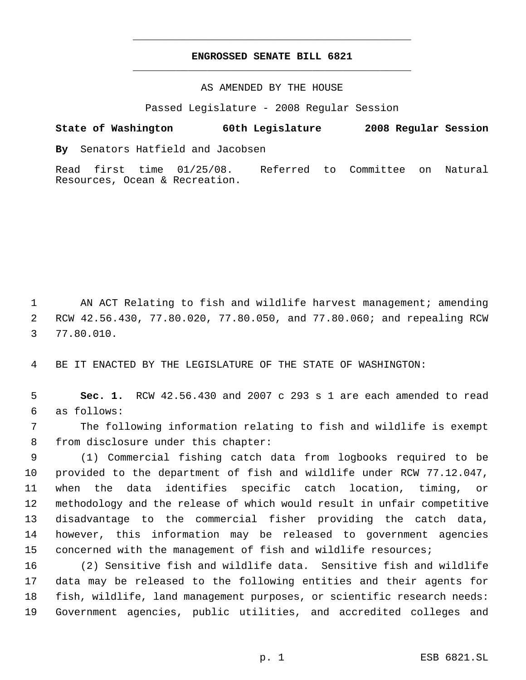# **ENGROSSED SENATE BILL 6821** \_\_\_\_\_\_\_\_\_\_\_\_\_\_\_\_\_\_\_\_\_\_\_\_\_\_\_\_\_\_\_\_\_\_\_\_\_\_\_\_\_\_\_\_\_

\_\_\_\_\_\_\_\_\_\_\_\_\_\_\_\_\_\_\_\_\_\_\_\_\_\_\_\_\_\_\_\_\_\_\_\_\_\_\_\_\_\_\_\_\_

### AS AMENDED BY THE HOUSE

Passed Legislature - 2008 Regular Session

# **State of Washington 60th Legislature 2008 Regular Session**

**By** Senators Hatfield and Jacobsen

Read first time 01/25/08. Referred to Committee on Natural Resources, Ocean & Recreation.

1 AN ACT Relating to fish and wildlife harvest management; amending RCW 42.56.430, 77.80.020, 77.80.050, and 77.80.060; and repealing RCW 77.80.010.

BE IT ENACTED BY THE LEGISLATURE OF THE STATE OF WASHINGTON:

 **Sec. 1.** RCW 42.56.430 and 2007 c 293 s 1 are each amended to read as follows:

 The following information relating to fish and wildlife is exempt from disclosure under this chapter:

 (1) Commercial fishing catch data from logbooks required to be provided to the department of fish and wildlife under RCW 77.12.047, when the data identifies specific catch location, timing, or methodology and the release of which would result in unfair competitive disadvantage to the commercial fisher providing the catch data, however, this information may be released to government agencies concerned with the management of fish and wildlife resources;

 (2) Sensitive fish and wildlife data. Sensitive fish and wildlife data may be released to the following entities and their agents for fish, wildlife, land management purposes, or scientific research needs: Government agencies, public utilities, and accredited colleges and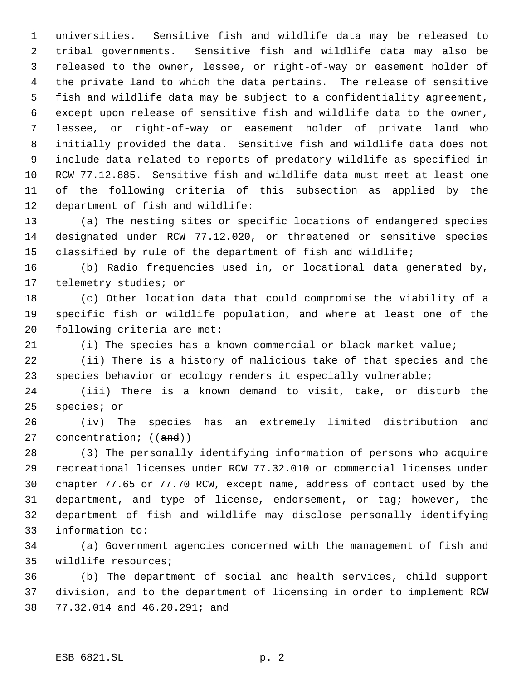universities. Sensitive fish and wildlife data may be released to tribal governments. Sensitive fish and wildlife data may also be released to the owner, lessee, or right-of-way or easement holder of the private land to which the data pertains. The release of sensitive fish and wildlife data may be subject to a confidentiality agreement, except upon release of sensitive fish and wildlife data to the owner, lessee, or right-of-way or easement holder of private land who initially provided the data. Sensitive fish and wildlife data does not include data related to reports of predatory wildlife as specified in RCW 77.12.885. Sensitive fish and wildlife data must meet at least one of the following criteria of this subsection as applied by the department of fish and wildlife:

 (a) The nesting sites or specific locations of endangered species designated under RCW 77.12.020, or threatened or sensitive species classified by rule of the department of fish and wildlife;

 (b) Radio frequencies used in, or locational data generated by, telemetry studies; or

 (c) Other location data that could compromise the viability of a specific fish or wildlife population, and where at least one of the following criteria are met:

(i) The species has a known commercial or black market value;

 (ii) There is a history of malicious take of that species and the species behavior or ecology renders it especially vulnerable;

 (iii) There is a known demand to visit, take, or disturb the species; or

 (iv) The species has an extremely limited distribution and 27 concentration; ((and))

 (3) The personally identifying information of persons who acquire recreational licenses under RCW 77.32.010 or commercial licenses under chapter 77.65 or 77.70 RCW, except name, address of contact used by the department, and type of license, endorsement, or tag; however, the department of fish and wildlife may disclose personally identifying information to:

 (a) Government agencies concerned with the management of fish and wildlife resources;

 (b) The department of social and health services, child support division, and to the department of licensing in order to implement RCW 77.32.014 and 46.20.291; and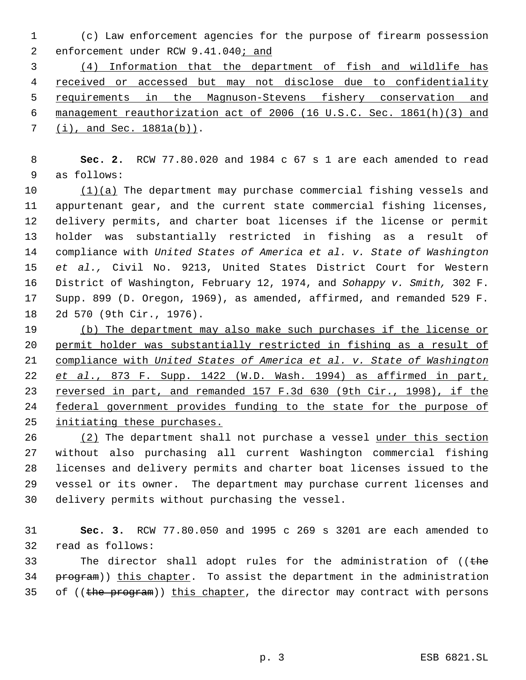(c) Law enforcement agencies for the purpose of firearm possession 2 enforcement under RCW 9.41.040; and

 (4) Information that the department of fish and wildlife has received or accessed but may not disclose due to confidentiality requirements in the Magnuson-Stevens fishery conservation and management reauthorization act of 2006 (16 U.S.C. Sec. 1861(h)(3) and (i), and Sec. 1881a(b)).

 **Sec. 2.** RCW 77.80.020 and 1984 c 67 s 1 are each amended to read as follows:

10 (1)(a) The department may purchase commercial fishing vessels and appurtenant gear, and the current state commercial fishing licenses, delivery permits, and charter boat licenses if the license or permit holder was substantially restricted in fishing as a result of compliance with *United States of America et al. v. State of Washington et al.,* Civil No. 9213, United States District Court for Western District of Washington, February 12, 1974, and *Sohappy v. Smith,* 302 F. Supp. 899 (D. Oregon, 1969), as amended, affirmed, and remanded 529 F. 2d 570 (9th Cir., 1976).

 (b) The department may also make such purchases if the license or permit holder was substantially restricted in fishing as a result of compliance with *United States of America et al. v. State of Washington et al*., 873 F. Supp. 1422 (W.D. Wash. 1994) as affirmed in part, reversed in part, and remanded 157 F.3d 630 (9th Cir., 1998), if the federal government provides funding to the state for the purpose of initiating these purchases.

26 (2) The department shall not purchase a vessel under this section without also purchasing all current Washington commercial fishing licenses and delivery permits and charter boat licenses issued to the vessel or its owner. The department may purchase current licenses and delivery permits without purchasing the vessel.

 **Sec. 3.** RCW 77.80.050 and 1995 c 269 s 3201 are each amended to read as follows:

33 The director shall adopt rules for the administration of (( $t$ he 34 program)) this chapter. To assist the department in the administration 35 of ((the program)) this chapter, the director may contract with persons